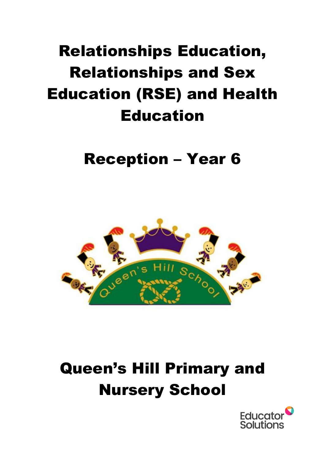# Relationships Education, Relationships and Sex Education (RSE) and Health Education

### Reception – Year 6



## Queen's Hill Primary and Nursery School

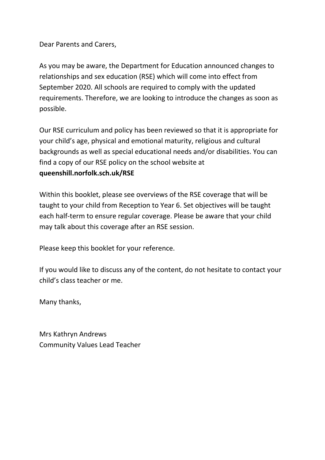Dear Parents and Carers,

As you may be aware, the Department for Education announced changes to relationships and sex education (RSE) which will come into effect from September 2020. All schools are required to comply with the updated requirements. Therefore, we are looking to introduce the changes as soon as possible.

Our RSE curriculum and policy has been reviewed so that it is appropriate for your child's age, physical and emotional maturity, religious and cultural backgrounds as well as special educational needs and/or disabilities. You can find a copy of our RSE policy on the school website at **queenshill.norfolk.sch.uk/RSE**

Within this booklet, please see overviews of the RSE coverage that will be taught to your child from Reception to Year 6. Set objectives will be taught each half-term to ensure regular coverage. Please be aware that your child may talk about this coverage after an RSE session.

Please keep this booklet for your reference.

If you would like to discuss any of the content, do not hesitate to contact your child's class teacher or me.

Many thanks,

Mrs Kathryn Andrews Community Values Lead Teacher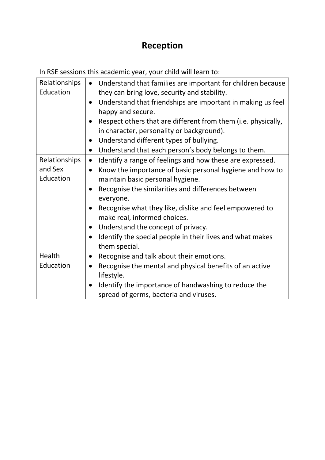### **Reception**

| Relationships<br>Education | Understand that families are important for children because<br>$\bullet$<br>they can bring love, security and stability.<br>Understand that friendships are important in making us feel<br>$\bullet$<br>happy and secure.<br>Respect others that are different from them (i.e. physically,<br>in character, personality or background).<br>Understand different types of bullying.<br>$\bullet$<br>Understand that each person's body belongs to them.<br>$\bullet$ |
|----------------------------|---------------------------------------------------------------------------------------------------------------------------------------------------------------------------------------------------------------------------------------------------------------------------------------------------------------------------------------------------------------------------------------------------------------------------------------------------------------------|
| Relationships              | Identify a range of feelings and how these are expressed.<br>$\bullet$                                                                                                                                                                                                                                                                                                                                                                                              |
| and Sex<br>Education       | Know the importance of basic personal hygiene and how to<br>$\bullet$<br>maintain basic personal hygiene.                                                                                                                                                                                                                                                                                                                                                           |
|                            | Recognise the similarities and differences between<br>$\bullet$                                                                                                                                                                                                                                                                                                                                                                                                     |
|                            | everyone.                                                                                                                                                                                                                                                                                                                                                                                                                                                           |
|                            | Recognise what they like, dislike and feel empowered to<br>make real, informed choices.                                                                                                                                                                                                                                                                                                                                                                             |
|                            | Understand the concept of privacy.<br>$\bullet$                                                                                                                                                                                                                                                                                                                                                                                                                     |
|                            | Identify the special people in their lives and what makes<br>$\bullet$<br>them special.                                                                                                                                                                                                                                                                                                                                                                             |
| Health                     | Recognise and talk about their emotions.<br>$\bullet$                                                                                                                                                                                                                                                                                                                                                                                                               |
| Education                  | Recognise the mental and physical benefits of an active<br>$\bullet$<br>lifestyle.                                                                                                                                                                                                                                                                                                                                                                                  |
|                            | Identify the importance of handwashing to reduce the<br>spread of germs, bacteria and viruses.                                                                                                                                                                                                                                                                                                                                                                      |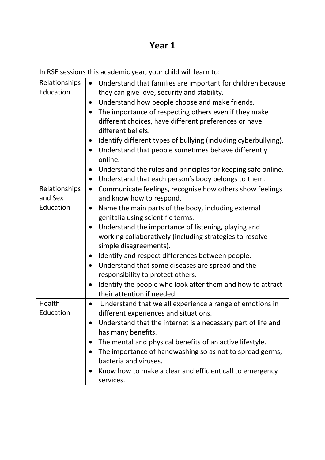| Relationships | Understand that families are important for children because<br>$\bullet$     |
|---------------|------------------------------------------------------------------------------|
| Education     | they can give love, security and stability.                                  |
|               | Understand how people choose and make friends.<br>$\bullet$                  |
|               | The importance of respecting others even if they make<br>$\bullet$           |
|               | different choices, have different preferences or have                        |
|               | different beliefs.                                                           |
|               | Identify different types of bullying (including cyberbullying).<br>$\bullet$ |
|               | Understand that people sometimes behave differently                          |
|               | online.                                                                      |
|               | Understand the rules and principles for keeping safe online.<br>$\bullet$    |
|               | Understand that each person's body belongs to them.<br>$\bullet$             |
| Relationships | Communicate feelings, recognise how others show feelings<br>$\bullet$        |
| and Sex       | and know how to respond.                                                     |
| Education     | Name the main parts of the body, including external<br>$\bullet$             |
|               | genitalia using scientific terms.                                            |
|               | Understand the importance of listening, playing and<br>$\bullet$             |
|               | working collaboratively (including strategies to resolve                     |
|               | simple disagreements).                                                       |
|               | Identify and respect differences between people.<br>$\bullet$                |
|               | Understand that some diseases are spread and the<br>$\bullet$                |
|               | responsibility to protect others.                                            |
|               | Identify the people who look after them and how to attract                   |
|               | their attention if needed.                                                   |
| Health        | Understand that we all experience a range of emotions in<br>$\bullet$        |
| Education     | different experiences and situations.                                        |
|               | Understand that the internet is a necessary part of life and                 |
|               | has many benefits.                                                           |
|               | The mental and physical benefits of an active lifestyle.<br>$\bullet$        |
|               | The importance of handwashing so as not to spread germs,<br>$\bullet$        |
|               | bacteria and viruses.                                                        |
|               | Know how to make a clear and efficient call to emergency<br>$\bullet$        |
|               | services.                                                                    |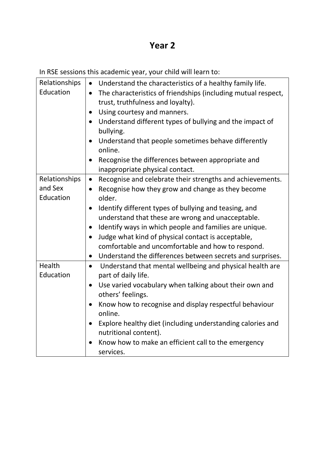| Relationships | • Understand the characteristics of a healthy family life.                                       |
|---------------|--------------------------------------------------------------------------------------------------|
| Education     | The characteristics of friendships (including mutual respect,<br>$\bullet$                       |
|               | trust, truthfulness and loyalty).                                                                |
|               | Using courtesy and manners.<br>$\bullet$                                                         |
|               | Understand different types of bullying and the impact of<br>$\bullet$                            |
|               | bullying.                                                                                        |
|               | Understand that people sometimes behave differently<br>$\bullet$<br>online.                      |
|               | Recognise the differences between appropriate and                                                |
|               | inappropriate physical contact.                                                                  |
| Relationships | Recognise and celebrate their strengths and achievements.<br>$\bullet$                           |
| and Sex       | Recognise how they grow and change as they become<br>$\bullet$                                   |
| Education     | older.                                                                                           |
|               | Identify different types of bullying and teasing, and<br>$\bullet$                               |
|               | understand that these are wrong and unacceptable.                                                |
|               | Identify ways in which people and families are unique.<br>$\bullet$                              |
|               | Judge what kind of physical contact is acceptable,<br>$\bullet$                                  |
|               | comfortable and uncomfortable and how to respond.                                                |
|               | Understand the differences between secrets and surprises.<br>$\bullet$                           |
| Health        | Understand that mental wellbeing and physical health are<br>$\bullet$                            |
| Education     | part of daily life.                                                                              |
|               | Use varied vocabulary when talking about their own and<br>$\bullet$                              |
|               | others' feelings.                                                                                |
|               | Know how to recognise and display respectful behaviour<br>$\bullet$<br>online.                   |
|               | Explore healthy diet (including understanding calories and<br>$\bullet$<br>nutritional content). |
|               | Know how to make an efficient call to the emergency                                              |
|               | services.                                                                                        |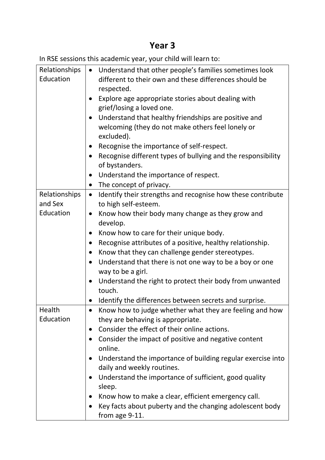| Relationships | Understand that other people's families sometimes look<br>$\bullet$      |
|---------------|--------------------------------------------------------------------------|
| Education     | different to their own and these differences should be                   |
|               | respected.                                                               |
|               | Explore age appropriate stories about dealing with                       |
|               | grief/losing a loved one.                                                |
|               | Understand that healthy friendships are positive and                     |
|               | welcoming (they do not make others feel lonely or                        |
|               | excluded).                                                               |
|               | Recognise the importance of self-respect.<br>$\bullet$                   |
|               | Recognise different types of bullying and the responsibility             |
|               | of bystanders.                                                           |
|               | Understand the importance of respect.<br>$\bullet$                       |
|               | The concept of privacy.<br>$\bullet$                                     |
| Relationships | Identify their strengths and recognise how these contribute<br>$\bullet$ |
| and Sex       | to high self-esteem.                                                     |
| Education     | Know how their body many change as they grow and<br>$\bullet$            |
|               | develop.                                                                 |
|               | Know how to care for their unique body.                                  |
|               | Recognise attributes of a positive, healthy relationship.                |
|               | Know that they can challenge gender stereotypes.                         |
|               | Understand that there is not one way to be a boy or one                  |
|               | way to be a girl.                                                        |
|               | Understand the right to protect their body from unwanted                 |
|               | touch.                                                                   |
|               | Identify the differences between secrets and surprise.                   |
| Health        | Know how to judge whether what they are feeling and how                  |
| Education     | they are behaving is appropriate.                                        |
|               | Consider the effect of their online actions.<br>$\bullet$                |
|               | Consider the impact of positive and negative content<br>$\bullet$        |
|               | online.                                                                  |
|               | Understand the importance of building regular exercise into              |
|               | daily and weekly routines.                                               |
|               | Understand the importance of sufficient, good quality                    |
|               | sleep.                                                                   |
|               | Know how to make a clear, efficient emergency call.                      |
|               | Key facts about puberty and the changing adolescent body                 |
|               | from age 9-11.                                                           |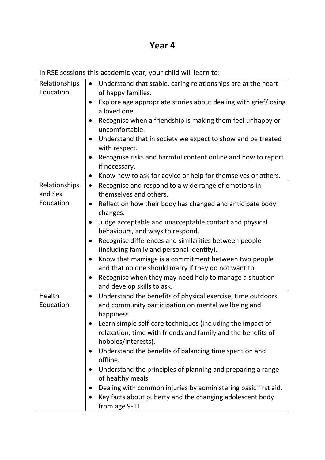| Relationships            | Understand that stable, caring relationships are at the heart<br>$\bullet$                  |
|--------------------------|---------------------------------------------------------------------------------------------|
| Education                | of happy families.                                                                          |
|                          | Explore age appropriate stories about dealing with grief/losing                             |
|                          | a loved one.                                                                                |
|                          | Recognise when a friendship is making them feel unhappy or<br>$\bullet$<br>uncomfortable.   |
|                          | Understand that in society we expect to show and be treated<br>$\bullet$                    |
|                          | with respect.                                                                               |
|                          | Recognise risks and harmful content online and how to report<br>$\bullet$                   |
|                          | if necessary.                                                                               |
|                          | Know how to ask for advice or help for themselves or others.<br>$\bullet$                   |
| Relationships<br>and Sex | Recognise and respond to a wide range of emotions in<br>$\bullet$<br>themselves and others. |
| Education                | Reflect on how their body has changed and anticipate body<br>$\bullet$                      |
|                          | changes.                                                                                    |
|                          | Judge acceptable and unacceptable contact and physical<br>$\bullet$                         |
|                          | behaviours, and ways to respond.                                                            |
|                          | Recognise differences and similarities between people<br>$\bullet$                          |
|                          | (including family and personal identity).                                                   |
|                          | Know that marriage is a commitment between two people                                       |
|                          | and that no one should marry if they do not want to.                                        |
|                          | Recognise when they may need help to manage a situation<br>$\bullet$                        |
|                          | and develop skills to ask.                                                                  |
| Health                   | Understand the benefits of physical exercise, time outdoors<br>$\bullet$                    |
| Education                | and community participation on mental wellbeing and                                         |
|                          | happiness.                                                                                  |
|                          | Learn simple self-care techniques (including the impact of                                  |
|                          | relaxation, time with friends and family and the benefits of                                |
|                          | hobbies/interests).                                                                         |
|                          | Understand the benefits of balancing time spent on and<br>offline.                          |
|                          | Understand the principles of planning and preparing a range                                 |
|                          | of healthy meals.                                                                           |
|                          | Dealing with common injuries by administering basic first aid.                              |
|                          | Key facts about puberty and the changing adolescent body                                    |
|                          | from age 9-11.                                                                              |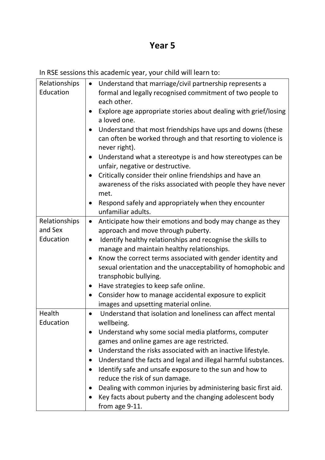| Relationships | Understand that marriage/civil partnership represents a<br>$\bullet$                                         |
|---------------|--------------------------------------------------------------------------------------------------------------|
| Education     | formal and legally recognised commitment of two people to<br>each other.                                     |
|               | Explore age appropriate stories about dealing with grief/losing<br>$\bullet$<br>a loved one.                 |
|               | Understand that most friendships have ups and downs (these<br>$\bullet$                                      |
|               | can often be worked through and that resorting to violence is<br>never right).                               |
|               | Understand what a stereotype is and how stereotypes can be<br>$\bullet$<br>unfair, negative or destructive.  |
|               | Critically consider their online friendships and have an<br>$\bullet$                                        |
|               | awareness of the risks associated with people they have never<br>met.                                        |
|               | Respond safely and appropriately when they encounter<br>$\bullet$<br>unfamiliar adults.                      |
| Relationships | Anticipate how their emotions and body may change as they<br>$\bullet$                                       |
| and Sex       | approach and move through puberty.                                                                           |
| Education     | Identify healthy relationships and recognise the skills to<br>$\bullet$                                      |
|               | manage and maintain healthy relationships.                                                                   |
|               | Know the correct terms associated with gender identity and<br>$\bullet$                                      |
|               | sexual orientation and the unacceptability of homophobic and<br>transphobic bullying.                        |
|               | Have strategies to keep safe online.<br>$\bullet$                                                            |
|               | Consider how to manage accidental exposure to explicit<br>$\bullet$<br>images and upsetting material online. |
| Health        | Understand that isolation and loneliness can affect mental<br>$\bullet$                                      |
| Education     | wellbeing.                                                                                                   |
|               | Understand why some social media platforms, computer                                                         |
|               | games and online games are age restricted.                                                                   |
|               | Understand the risks associated with an inactive lifestyle.<br>$\bullet$                                     |
|               | Understand the facts and legal and illegal harmful substances.<br>$\bullet$                                  |
|               | Identify safe and unsafe exposure to the sun and how to<br>$\bullet$                                         |
|               | reduce the risk of sun damage.                                                                               |
|               | Dealing with common injuries by administering basic first aid.                                               |
|               | Key facts about puberty and the changing adolescent body                                                     |
|               | from age 9-11.                                                                                               |